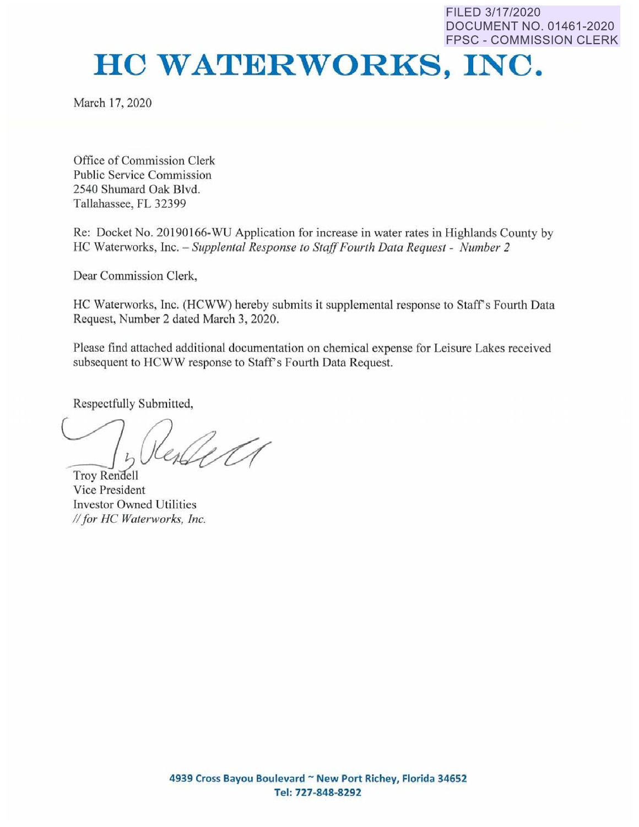FILED 3/17/2020 DOCUMENT NO. 01461-2020 FPSC - COMMISSION CLERK

## **HC WATERWORKS, INC.**

March 17, 2020

Office of Commission Clerk Public Service Commission 2540 Shumard Oak Blvd. Tallahassee, FL 32399

Re: Docket No. 20190166-WU Application for increase in water rates in Highlands County by HC Waterworks, Inc. - *Supplental Response to Staff Fourth Data Request* - *Number 2* 

Dear Commission Clerk,

HC Waterworks, Inc. (HCWW) hereby submits it supplemental response to Staff's Fourth Data Request, Number 2 dated March 3, 2020.

Please find attached additional documentation on chemical expense for Leisure Lakes received subsequent to HCWW response to Staff's Fourth Data Request.

Respectfully Submitted,

 $\bigcup_{\mathfrak{p}}$ Troy Rendell

Vice President Investor Owned Utilities *II for HC Waterworks, Inc.*